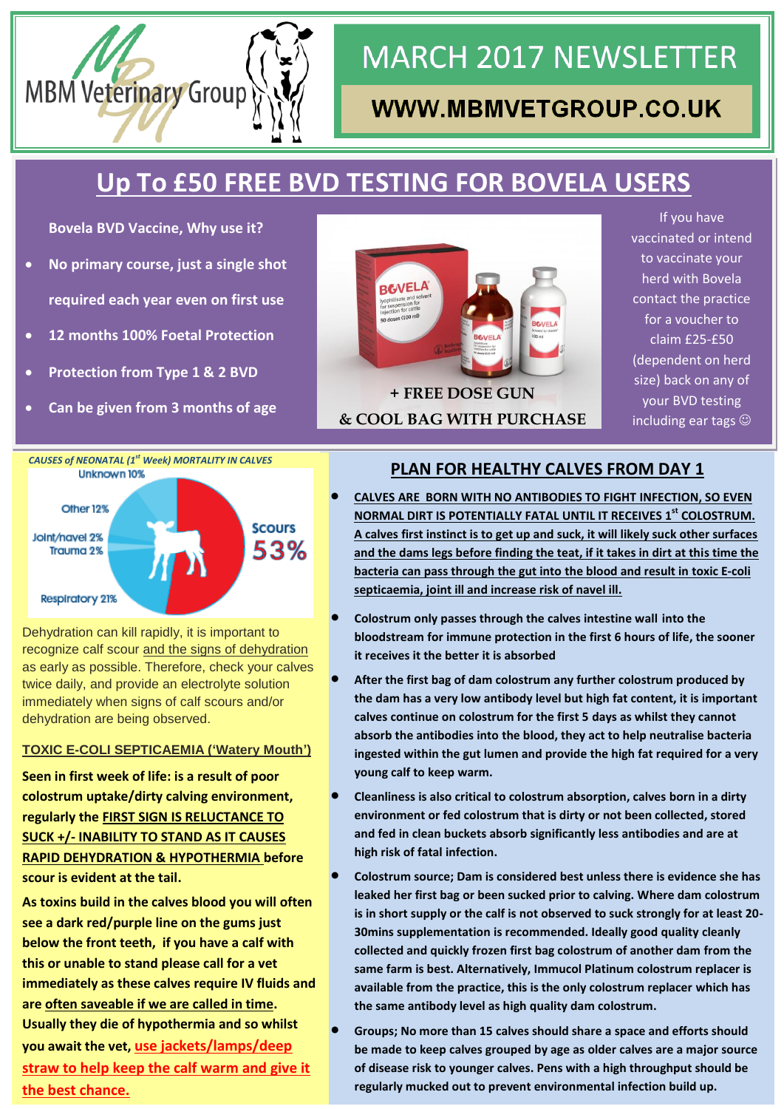

# **MARCH 2017 NEWSLETTER**

## WWW.MBMVETGROUP.CO.UK

# **Up To £50 FREE BVD TESTING FOR BOVELA USERS**

**Bovela BVD Vaccine, Why use it?**

- **No primary course, just a single shot required each year even on first use**
- **12 months 100% Foetal Protection**
- **Protection from Type 1 & 2 BVD**
- **Can be given from 3 months of age**



If you have vaccinated or intend to vaccinate your herd with Bovela contact the practice for a voucher to claim £25-£50 (dependent on herd size) back on any of your BVD testing including ear tags  $\odot$ 



Dehydration can kill rapidly, it is important to recognize calf scour and the signs of dehydration as early as possible. Therefore, check your calves twice daily, and provide an electrolyte solution immediately when signs of calf scours and/or dehydration are being observed.

#### **TOXIC E-COLI SEPTICAEMIA ('Watery Mouth')**

**Seen in first week of life: is a result of poor colostrum uptake/dirty calving environment, regularly the FIRST SIGN IS RELUCTANCE TO SUCK +/- INABILITY TO STAND AS IT CAUSES RAPID DEHYDRATION & HYPOTHERMIA before scour is evident at the tail.**

**As toxins build in the calves blood you will often see a dark red/purple line on the gums just below the front teeth, if you have a calf with this or unable to stand please call for a vet immediately as these calves require IV fluids and are often saveable if we are called in time. Usually they die of hypothermia and so whilst you await the vet, use jackets/lamps/deep straw to help keep the calf warm and give it the best chance.**

#### **PLAN FOR HEALTHY CALVES FROM DAY 1**

- **CALVES ARE BORN WITH NO ANTIBODIES TO FIGHT INFECTION, SO EVEN NORMAL DIRT IS POTENTIALLY FATAL UNTIL IT RECEIVES 1st COLOSTRUM. A calves first instinct is to get up and suck, it will likely suck other surfaces and the dams legs before finding the teat, if it takes in dirt at this time the bacteria can pass through the gut into the blood and result in toxic E-coli septicaemia, joint ill and increase risk of navel ill.**
- **Colostrum only passes through the calves intestine wall into the bloodstream for immune protection in the first 6 hours of life, the sooner it receives it the better it is absorbed**
- **After the first bag of dam colostrum any further colostrum produced by the dam has a very low antibody level but high fat content, it is important calves continue on colostrum for the first 5 days as whilst they cannot absorb the antibodies into the blood, they act to help neutralise bacteria ingested within the gut lumen and provide the high fat required for a very young calf to keep warm.**
- **Cleanliness is also critical to colostrum absorption, calves born in a dirty environment or fed colostrum that is dirty or not been collected, stored and fed in clean buckets absorb significantly less antibodies and are at high risk of fatal infection.**
- **Colostrum source; Dam is considered best unless there is evidence she has leaked her first bag or been sucked prior to calving. Where dam colostrum is in short supply or the calf is not observed to suck strongly for at least 20- 30mins supplementation is recommended. Ideally good quality cleanly collected and quickly frozen first bag colostrum of another dam from the same farm is best. Alternatively, Immucol Platinum colostrum replacer is available from the practice, this is the only colostrum replacer which has the same antibody level as high quality dam colostrum.**
- **Groups; No more than 15 calves should share a space and efforts should be made to keep calves grouped by age as older calves are a major source of disease risk to younger calves. Pens with a high throughput should be regularly mucked out to prevent environmental infection build up.**